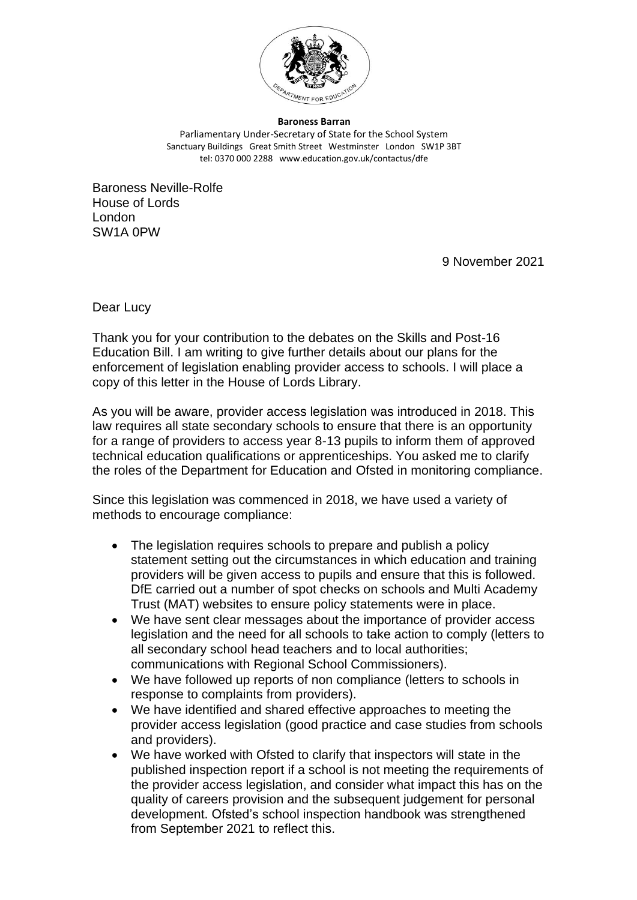

**Baroness Barran** Parliamentary Under-Secretary of State for the School System Sanctuary Buildings Great Smith Street Westminster London SW1P 3BT tel: 0370 000 2288 www.education.gov.uk/contactus/dfe

Baroness Neville-Rolfe House of Lords London SW1A 0PW

9 November 2021

Dear Lucy

Thank you for your contribution to the debates on the Skills and Post-16 Education Bill. I am writing to give further details about our plans for the enforcement of legislation enabling provider access to schools. I will place a copy of this letter in the House of Lords Library.

As you will be aware, provider access legislation was introduced in 2018. This law requires all state secondary schools to ensure that there is an opportunity for a range of providers to access year 8-13 pupils to inform them of approved technical education qualifications or apprenticeships. You asked me to clarify the roles of the Department for Education and Ofsted in monitoring compliance.

Since this legislation was commenced in 2018, we have used a variety of methods to encourage compliance:

- The legislation requires schools to prepare and publish a policy statement setting out the circumstances in which education and training providers will be given access to pupils and ensure that this is followed. DfE carried out a number of spot checks on schools and Multi Academy Trust (MAT) websites to ensure policy statements were in place.
- We have sent clear messages about the importance of provider access legislation and the need for all schools to take action to comply (letters to all secondary school head teachers and to local authorities; communications with Regional School Commissioners).
- We have followed up reports of non compliance (letters to schools in response to complaints from providers).
- We have identified and shared effective approaches to meeting the provider access legislation (good practice and case studies from schools and providers).
- We have worked with Ofsted to clarify that inspectors will state in the published inspection report if a school is not meeting the requirements of the provider access legislation, and consider what impact this has on the quality of careers provision and the subsequent judgement for personal development. Ofsted's school inspection handbook was strengthened from September 2021 to reflect this.